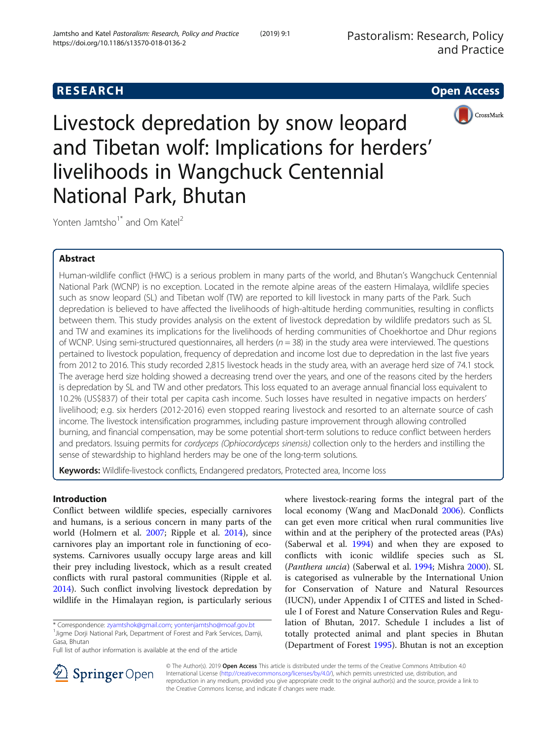# **RESEARCH CHE Open Access**



Livestock depredation by snow leopard and Tibetan wolf: Implications for herders' livelihoods in Wangchuck Centennial National Park, Bhutan

Yonten Jamtsho<sup>1\*</sup> and Om Katel<sup>2</sup>

# Abstract

Human-wildlife conflict (HWC) is a serious problem in many parts of the world, and Bhutan's Wangchuck Centennial National Park (WCNP) is no exception. Located in the remote alpine areas of the eastern Himalaya, wildlife species such as snow leopard (SL) and Tibetan wolf (TW) are reported to kill livestock in many parts of the Park. Such depredation is believed to have affected the livelihoods of high-altitude herding communities, resulting in conflicts between them. This study provides analysis on the extent of livestock depredation by wildlife predators such as SL and TW and examines its implications for the livelihoods of herding communities of Choekhortoe and Dhur regions of WCNP. Using semi-structured questionnaires, all herders ( $n = 38$ ) in the study area were interviewed. The questions pertained to livestock population, frequency of depredation and income lost due to depredation in the last five years from 2012 to 2016. This study recorded 2,815 livestock heads in the study area, with an average herd size of 74.1 stock. The average herd size holding showed a decreasing trend over the years, and one of the reasons cited by the herders is depredation by SL and TW and other predators. This loss equated to an average annual financial loss equivalent to 10.2% (US\$837) of their total per capita cash income. Such losses have resulted in negative impacts on herders' livelihood; e.g. six herders (2012-2016) even stopped rearing livestock and resorted to an alternate source of cash income. The livestock intensification programmes, including pasture improvement through allowing controlled burning, and financial compensation, may be some potential short-term solutions to reduce conflict between herders and predators. Issuing permits for cordyceps (Ophiocordyceps sinensis) collection only to the herders and instilling the sense of stewardship to highland herders may be one of the long-term solutions.

Keywords: Wildlife-livestock conflicts, Endangered predators, Protected area, Income loss

# Introduction

Conflict between wildlife species, especially carnivores and humans, is a serious concern in many parts of the world (Holmern et al. [2007;](#page-9-0) Ripple et al. [2014\)](#page-9-0), since carnivores play an important role in functioning of ecosystems. Carnivores usually occupy large areas and kill their prey including livestock, which as a result created conflicts with rural pastoral communities (Ripple et al. [2014](#page-9-0)). Such conflict involving livestock depredation by wildlife in the Himalayan region, is particularly serious

\* Correspondence: [zyamtshok@gmail.com](mailto:zyamtshok@gmail.com); [yontenjamtsho@moaf.gov.bt](mailto:yontenjamtsho@moaf.gov.bt) <sup>1</sup>

<sup>1</sup> Jigme Dorji National Park, Department of Forest and Park Services, Damji, Gasa, Bhutan

Full list of author information is available at the end of the article

where livestock-rearing forms the integral part of the local economy (Wang and MacDonald [2006](#page-9-0)). Conflicts can get even more critical when rural communities live within and at the periphery of the protected areas (PAs) (Saberwal et al. [1994](#page-9-0)) and when they are exposed to conflicts with iconic wildlife species such as SL (Panthera uncia) (Saberwal et al. [1994;](#page-9-0) Mishra [2000\)](#page-9-0). SL is categorised as vulnerable by the International Union for Conservation of Nature and Natural Resources (IUCN), under Appendix I of CITES and listed in Schedule I of Forest and Nature Conservation Rules and Regulation of Bhutan, 2017. Schedule I includes a list of totally protected animal and plant species in Bhutan (Department of Forest [1995](#page-8-0)). Bhutan is not an exception



© The Author(s). 2019 Open Access This article is distributed under the terms of the Creative Commons Attribution 4.0 International License ([http://creativecommons.org/licenses/by/4.0/\)](http://creativecommons.org/licenses/by/4.0/), which permits unrestricted use, distribution, and reproduction in any medium, provided you give appropriate credit to the original author(s) and the source, provide a link to the Creative Commons license, and indicate if changes were made.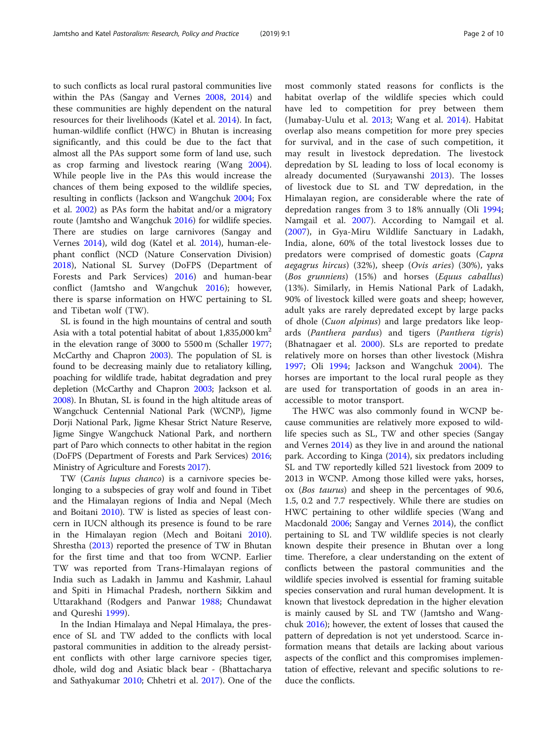to such conflicts as local rural pastoral communities live within the PAs (Sangay and Vernes [2008](#page-9-0), [2014\)](#page-9-0) and these communities are highly dependent on the natural resources for their livelihoods (Katel et al. [2014\)](#page-9-0). In fact, human-wildlife conflict (HWC) in Bhutan is increasing significantly, and this could be due to the fact that almost all the PAs support some form of land use, such as crop farming and livestock rearing (Wang [2004](#page-9-0)). While people live in the PAs this would increase the chances of them being exposed to the wildlife species, resulting in conflicts (Jackson and Wangchuk [2004;](#page-9-0) Fox et al. [2002\)](#page-9-0) as PAs form the habitat and/or a migratory route (Jamtsho and Wangchuk [2016](#page-9-0)) for wildlife species. There are studies on large carnivores (Sangay and Vernes [2014](#page-9-0)), wild dog (Katel et al. [2014\)](#page-9-0), human-elephant conflict (NCD (Nature Conservation Division) [2018](#page-9-0)), National SL Survey (DoFPS (Department of Forests and Park Services) [2016\)](#page-8-0) and human-bear conflict (Jamtsho and Wangchuk [2016](#page-9-0)); however, there is sparse information on HWC pertaining to SL and Tibetan wolf (TW).

SL is found in the high mountains of central and south Asia with a total potential habitat of about  $1,835,000 \text{ km}^2$ in the elevation range of 3000 to 5500 m (Schaller [1977](#page-9-0); McCarthy and Chapron [2003\)](#page-9-0). The population of SL is found to be decreasing mainly due to retaliatory killing, poaching for wildlife trade, habitat degradation and prey depletion (McCarthy and Chapron [2003;](#page-9-0) Jackson et al. [2008\)](#page-9-0). In Bhutan, SL is found in the high altitude areas of Wangchuck Centennial National Park (WCNP), Jigme Dorji National Park, Jigme Khesar Strict Nature Reserve, Jigme Singye Wangchuck National Park, and northern part of Paro which connects to other habitat in the region (DoFPS (Department of Forests and Park Services) [2016](#page-8-0); Ministry of Agriculture and Forests [2017\)](#page-9-0).

TW (Canis lupus chanco) is a carnivore species belonging to a subspecies of gray wolf and found in Tibet and the Himalayan regions of India and Nepal (Mech and Boitani [2010](#page-9-0)). TW is listed as species of least concern in IUCN although its presence is found to be rare in the Himalayan region (Mech and Boitani [2010](#page-9-0)). Shrestha [\(2013](#page-9-0)) reported the presence of TW in Bhutan for the first time and that too from WCNP. Earlier TW was reported from Trans-Himalayan regions of India such as Ladakh in Jammu and Kashmir, Lahaul and Spiti in Himachal Pradesh, northern Sikkim and Uttarakhand (Rodgers and Panwar [1988](#page-9-0); Chundawat and Qureshi [1999](#page-8-0)).

In the Indian Himalaya and Nepal Himalaya, the presence of SL and TW added to the conflicts with local pastoral communities in addition to the already persistent conflicts with other large carnivore species tiger, dhole, wild dog and Asiatic black bear - (Bhattacharya and Sathyakumar [2010;](#page-8-0) Chhetri et al. [2017](#page-8-0)). One of the

most commonly stated reasons for conflicts is the habitat overlap of the wildlife species which could have led to competition for prey between them (Jumabay-Uulu et al. [2013;](#page-9-0) Wang et al. [2014](#page-9-0)). Habitat overlap also means competition for more prey species for survival, and in the case of such competition, it may result in livestock depredation. The livestock depredation by SL leading to loss of local economy is already documented (Suryawanshi [2013](#page-9-0)). The losses of livestock due to SL and TW depredation, in the Himalayan region, are considerable where the rate of depredation ranges from 3 to 18% annually (Oli [1994](#page-9-0); Namgail et al. [2007\)](#page-9-0). According to Namgail et al. ([2007\)](#page-9-0), in Gya-Miru Wildlife Sanctuary in Ladakh, India, alone, 60% of the total livestock losses due to predators were comprised of domestic goats (Capra aegagrus hircus) (32%), sheep (Ovis aries) (30%), yaks (Bos grunniens) (15%) and horses (Equus caballus) (13%). Similarly, in Hemis National Park of Ladakh, 90% of livestock killed were goats and sheep; however, adult yaks are rarely depredated except by large packs of dhole (*Cuon alpinus*) and large predators like leopards (Panthera pardus) and tigers (Panthera tigris) (Bhatnagaer et al. [2000](#page-8-0)). SLs are reported to predate relatively more on horses than other livestock (Mishra [1997;](#page-9-0) Oli [1994](#page-9-0); Jackson and Wangchuk [2004\)](#page-9-0). The horses are important to the local rural people as they are used for transportation of goods in an area inaccessible to motor transport.

The HWC was also commonly found in WCNP because communities are relatively more exposed to wildlife species such as SL, TW and other species (Sangay and Vernes [2014\)](#page-9-0) as they live in and around the national park. According to Kinga ([2014](#page-9-0)), six predators including SL and TW reportedly killed 521 livestock from 2009 to 2013 in WCNP. Among those killed were yaks, horses, ox (Bos taurus) and sheep in the percentages of 90.6, 1.5, 0.2 and 7.7 respectively. While there are studies on HWC pertaining to other wildlife species (Wang and Macdonald [2006;](#page-9-0) Sangay and Vernes [2014](#page-9-0)), the conflict pertaining to SL and TW wildlife species is not clearly known despite their presence in Bhutan over a long time. Therefore, a clear understanding on the extent of conflicts between the pastoral communities and the wildlife species involved is essential for framing suitable species conservation and rural human development. It is known that livestock depredation in the higher elevation is mainly caused by SL and TW (Jamtsho and Wangchuk [2016](#page-9-0)); however, the extent of losses that caused the pattern of depredation is not yet understood. Scarce information means that details are lacking about various aspects of the conflict and this compromises implementation of effective, relevant and specific solutions to reduce the conflicts.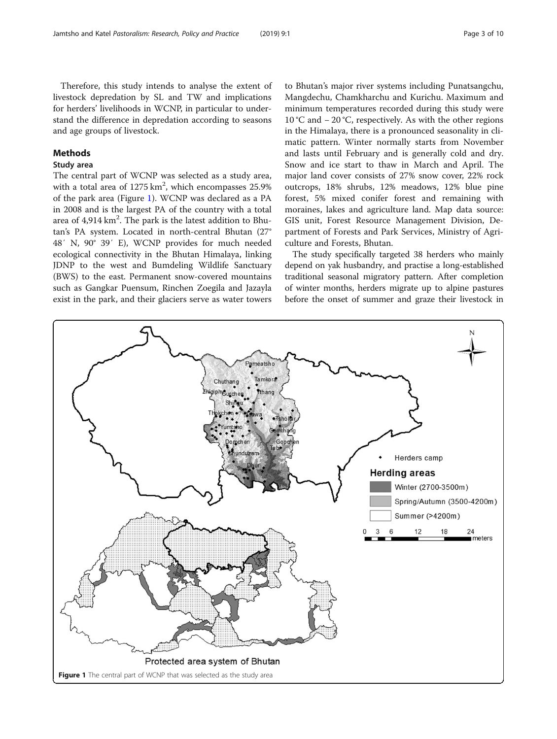Therefore, this study intends to analyse the extent of livestock depredation by SL and TW and implications for herders' livelihoods in WCNP, in particular to understand the difference in depredation according to seasons and age groups of livestock.

## Methods

### Study area

The central part of WCNP was selected as a study area, with a total area of  $1275 \text{ km}^2$ , which encompasses  $25.9\%$ of the park area (Figure 1). WCNP was declared as a PA in 2008 and is the largest PA of the country with a total area of 4,914  $\rm km^2$ . The park is the latest addition to Bhutan's PA system. Located in north-central Bhutan (27° 48′ N, 90° 39′ E), WCNP provides for much needed ecological connectivity in the Bhutan Himalaya, linking JDNP to the west and Bumdeling Wildlife Sanctuary (BWS) to the east. Permanent snow-covered mountains such as Gangkar Puensum, Rinchen Zoegila and Jazayla exist in the park, and their glaciers serve as water towers

to Bhutan's major river systems including Punatsangchu, Mangdechu, Chamkharchu and Kurichu. Maximum and minimum temperatures recorded during this study were 10 °C and − 20 °C, respectively. As with the other regions in the Himalaya, there is a pronounced seasonality in climatic pattern. Winter normally starts from November and lasts until February and is generally cold and dry. Snow and ice start to thaw in March and April. The major land cover consists of 27% snow cover, 22% rock outcrops, 18% shrubs, 12% meadows, 12% blue pine forest, 5% mixed conifer forest and remaining with moraines, lakes and agriculture land. Map data source: GIS unit, Forest Resource Management Division, Department of Forests and Park Services, Ministry of Agriculture and Forests, Bhutan.

The study specifically targeted 38 herders who mainly depend on yak husbandry, and practise a long-established traditional seasonal migratory pattern. After completion of winter months, herders migrate up to alpine pastures before the onset of summer and graze their livestock in

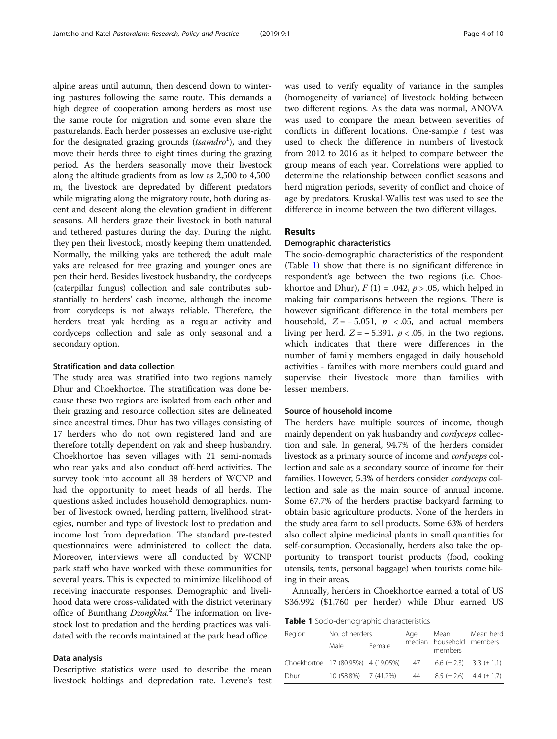alpine areas until autumn, then descend down to wintering pastures following the same route. This demands a high degree of cooperation among herders as most use the same route for migration and some even share the pasturelands. Each herder possesses an exclusive use-right for the designated grazing grounds (tsamdro<sup>1</sup>), and they move their herds three to eight times during the grazing period. As the herders seasonally move their livestock along the altitude gradients from as low as 2,500 to 4,500 m, the livestock are depredated by different predators while migrating along the migratory route, both during ascent and descent along the elevation gradient in different seasons. All herders graze their livestock in both natural and tethered pastures during the day. During the night, they pen their livestock, mostly keeping them unattended. Normally, the milking yaks are tethered; the adult male yaks are released for free grazing and younger ones are pen their herd. Besides livestock husbandry, the cordyceps (caterpillar fungus) collection and sale contributes substantially to herders' cash income, although the income from corydceps is not always reliable. Therefore, the herders treat yak herding as a regular activity and cordyceps collection and sale as only seasonal and a secondary option.

### Stratification and data collection

The study area was stratified into two regions namely Dhur and Choekhortoe. The stratification was done because these two regions are isolated from each other and their grazing and resource collection sites are delineated since ancestral times. Dhur has two villages consisting of 17 herders who do not own registered land and are therefore totally dependent on yak and sheep husbandry. Choekhortoe has seven villages with 21 semi-nomads who rear yaks and also conduct off-herd activities. The survey took into account all 38 herders of WCNP and had the opportunity to meet heads of all herds. The questions asked includes household demographics, number of livestock owned, herding pattern, livelihood strategies, number and type of livestock lost to predation and income lost from depredation. The standard pre-tested questionnaires were administered to collect the data. Moreover, interviews were all conducted by WCNP park staff who have worked with these communities for several years. This is expected to minimize likelihood of receiving inaccurate responses. Demographic and livelihood data were cross-validated with the district veterinary office of Bumthang Dzongkha.<sup>2</sup> The information on livestock lost to predation and the herding practices was validated with the records maintained at the park head office.

### Data analysis

Descriptive statistics were used to describe the mean livestock holdings and depredation rate. Levene's test was used to verify equality of variance in the samples (homogeneity of variance) of livestock holding between two different regions. As the data was normal, ANOVA was used to compare the mean between severities of conflicts in different locations. One-sample  $t$  test was used to check the difference in numbers of livestock from 2012 to 2016 as it helped to compare between the group means of each year. Correlations were applied to determine the relationship between conflict seasons and herd migration periods, severity of conflict and choice of age by predators. Kruskal-Wallis test was used to see the difference in income between the two different villages.

### Results

### Demographic characteristics

The socio-demographic characteristics of the respondent (Table 1) show that there is no significant difference in respondent's age between the two regions (i.e. Choekhortoe and Dhur),  $F(1) = .042$ ,  $p > .05$ , which helped in making fair comparisons between the regions. There is however significant difference in the total members per household,  $Z = -5.051$ ,  $p < .05$ , and actual members living per herd,  $Z = -5.391$ ,  $p < .05$ , in the two regions, which indicates that there were differences in the number of family members engaged in daily household activities - families with more members could guard and supervise their livestock more than families with lesser members.

#### Source of household income

The herders have multiple sources of income, though mainly dependent on yak husbandry and cordyceps collection and sale. In general, 94.7% of the herders consider livestock as a primary source of income and cordyceps collection and sale as a secondary source of income for their families. However, 5.3% of herders consider cordyceps collection and sale as the main source of annual income. Some 67.7% of the herders practise backyard farming to obtain basic agriculture products. None of the herders in the study area farm to sell products. Some 63% of herders also collect alpine medicinal plants in small quantities for self-consumption. Occasionally, herders also take the opportunity to transport tourist products (food, cooking utensils, tents, personal baggage) when tourists come hiking in their areas.

Annually, herders in Choekhortoe earned a total of US \$36,992 (\$1,760 per herder) while Dhur earned US

Table 1 Socio-demographic characteristics

| Region                             | No. of herders       |        | Aae | Mean                            | Mean herd<br>median household members |  |
|------------------------------------|----------------------|--------|-----|---------------------------------|---------------------------------------|--|
|                                    | Male                 | Female |     | members                         |                                       |  |
| Choekhortoe 17 (80.95%) 4 (19.05%) |                      |        | 47  | $6.6 (\pm 2.3)$ $3.3 (\pm 1.1)$ |                                       |  |
| Dhur                               | 10 (58.8%) 7 (41.2%) |        | 44  | $8.5 \pm 2.6$ 4.4 ( $\pm$ 1.7)  |                                       |  |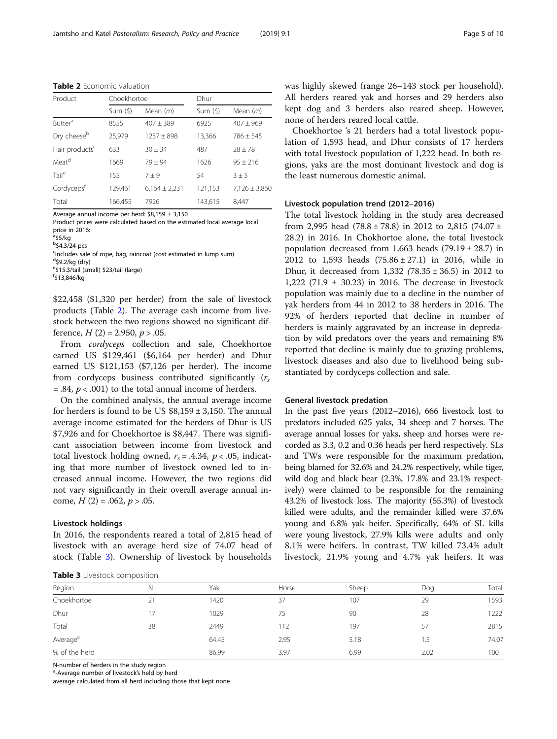Table 2 Economic valuation

| Product                    | Choekhortoe |                   | Dhur    |                   |  |  |
|----------------------------|-------------|-------------------|---------|-------------------|--|--|
|                            | Sum(5)      | Mean $(m)$        | Sum(5)  | Mean $(m)$        |  |  |
| <b>Butter</b> <sup>a</sup> | 8555        | $407 + 389$       | 6925    | $407 \pm 969$     |  |  |
| Dry cheese <sup>b</sup>    | 25,979      | $1237 + 898$      | 13,366  | $786 + 545$       |  |  |
| Hair products <sup>c</sup> | 633         | $30 + 34$         | 487     | $28 \pm 78$       |  |  |
| Meat <sup>d</sup>          | 1669        | $79 + 94$         | 1626    | $95 + 216$        |  |  |
| Tail <sup>e</sup>          | 155         | $7 \pm 9$         | 54      | $3 + 5$           |  |  |
| Cordyceps <sup>t</sup>     | 129,461     | $6,164 \pm 2,231$ | 121,153 | $7,126 \pm 3,860$ |  |  |
| Total                      | 166.455     | 7926              | 143,615 | 8.447             |  |  |

Average annual income per herd:  $$8,159 \pm 3,150$ 

Product prices were calculated based on the estimated local average local price in 2016:

<sup>a</sup>\$5/kg

 $b$ \$4.3/24 pcs

<sup>c</sup>Includes sale of rope, bag, raincoat (cost estimated in lump sum)

<sup>d</sup>\$9.2/kg (dry)

<sup>e</sup>\$15.3/tail (small) \$23/tail (large)

f \$13,846/kg

\$22,458 (\$1,320 per herder) from the sale of livestock products (Table 2). The average cash income from livestock between the two regions showed no significant difference,  $H(2) = 2.950, p > .05$ .

From cordyceps collection and sale, Choekhortoe earned US \$129,461 (\$6,164 per herder) and Dhur earned US \$121,153 (\$7,126 per herder). The income from cordyceps business contributed significantly  $(r_s)$  $= .84$ ,  $p < .001$ ) to the total annual income of herders.

On the combined analysis, the annual average income for herders is found to be US  $$8,159 \pm 3,150$ . The annual average income estimated for the herders of Dhur is US \$7,926 and for Choekhortoe is \$8,447. There was significant association between income from livestock and total livestock holding owned,  $r_s = .4.34$ ,  $p < .05$ , indicating that more number of livestock owned led to increased annual income. However, the two regions did not vary significantly in their overall average annual income,  $H(2) = .062$ ,  $p > .05$ .

#### Livestock holdings

In 2016, the respondents reared a total of 2,815 head of livestock with an average herd size of 74.07 head of stock (Table 3). Ownership of livestock by households

Table 3 Livestock composition

was highly skewed (range 26–143 stock per household). All herders reared yak and horses and 29 herders also kept dog and 3 herders also reared sheep. However, none of herders reared local cattle.

Choekhortoe 's 21 herders had a total livestock population of 1,593 head, and Dhur consists of 17 herders with total livestock population of 1,222 head. In both regions, yaks are the most dominant livestock and dog is the least numerous domestic animal.

### Livestock population trend (2012–2016)

The total livestock holding in the study area decreased from 2,995 head  $(78.8 \pm 78.8)$  in 2012 to 2,815  $(74.07 \pm 1)$ 28.2) in 2016. In Chokhortoe alone, the total livestock population decreased from 1,663 heads  $(79.19 \pm 28.7)$  in 2012 to 1,593 heads (75.86 ± 27.1) in 2016, while in Dhur, it decreased from 1,332 (78.35 ± 36.5) in 2012 to 1,222 (71.9 ± 30.23) in 2016. The decrease in livestock population was mainly due to a decline in the number of yak herders from 44 in 2012 to 38 herders in 2016. The 92% of herders reported that decline in number of herders is mainly aggravated by an increase in depredation by wild predators over the years and remaining 8% reported that decline is mainly due to grazing problems, livestock diseases and also due to livelihood being substantiated by cordyceps collection and sale.

#### General livestock predation

In the past five years (2012–2016), 666 livestock lost to predators included 625 yaks, 34 sheep and 7 horses. The average annual losses for yaks, sheep and horses were recorded as 3.3, 0.2 and 0.36 heads per herd respectively. SLs and TWs were responsible for the maximum predation, being blamed for 32.6% and 24.2% respectively, while tiger, wild dog and black bear (2.3%, 17.8% and 23.1% respectively) were claimed to be responsible for the remaining 43.2% of livestock loss. The majority (55.3%) of livestock killed were adults, and the remainder killed were 37.6% young and 6.8% yak heifer. Specifically, 64% of SL kills were young livestock, 27.9% kills were adults and only 8.1% were heifers. In contrast, TW killed 73.4% adult livestock, 21.9% young and 4.7% yak heifers. It was

| Region               | Ν  | Yak   | Horse | Sheep | Dog  | Total |  |
|----------------------|----|-------|-------|-------|------|-------|--|
| Choekhortoe          | 21 | 1420  | 37    | 107   | 29   | 1593  |  |
| Dhur                 |    | 1029  | 75    | 90    | 28   | 1222  |  |
| Total                | 38 | 2449  | 112   | 197   | 57   | 2815  |  |
| Average <sup>a</sup> |    | 64.45 | 2.95  | 5.18  | 1.5  | 74.07 |  |
| % of the herd        |    | 86.99 | 3.97  | 6.99  | 2.02 | 100   |  |

N-number of herders in the study region

<sup>a</sup>-Average number of livestock's held by herd

average calculated from all herd including those that kept none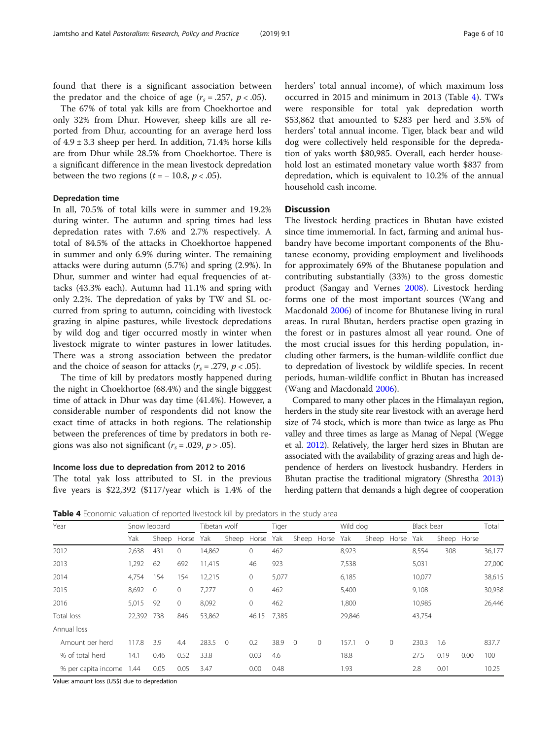found that there is a significant association between the predator and the choice of age  $(r_s = .257, p < .05)$ .

The 67% of total yak kills are from Choekhortoe and only 32% from Dhur. However, sheep kills are all reported from Dhur, accounting for an average herd loss of  $4.9 \pm 3.3$  sheep per herd. In addition, 71.4% horse kills are from Dhur while 28.5% from Choekhortoe. There is a significant difference in the mean livestock depredation between the two regions  $(t = -10.8, p < .05)$ .

### Depredation time

In all, 70.5% of total kills were in summer and 19.2% during winter. The autumn and spring times had less depredation rates with 7.6% and 2.7% respectively. A total of 84.5% of the attacks in Choekhortoe happened in summer and only 6.9% during winter. The remaining attacks were during autumn (5.7%) and spring (2.9%). In Dhur, summer and winter had equal frequencies of attacks (43.3% each). Autumn had 11.1% and spring with only 2.2%. The depredation of yaks by TW and SL occurred from spring to autumn, coinciding with livestock grazing in alpine pastures, while livestock depredations by wild dog and tiger occurred mostly in winter when livestock migrate to winter pastures in lower latitudes. There was a strong association between the predator and the choice of season for attacks ( $r_s = .279$ ,  $p < .05$ ).

The time of kill by predators mostly happened during the night in Choekhortoe (68.4%) and the single bigggest time of attack in Dhur was day time (41.4%). However, a considerable number of respondents did not know the exact time of attacks in both regions. The relationship between the preferences of time by predators in both regions was also not significant ( $r_s = .029$ ,  $p > .05$ ).

### Income loss due to depredation from 2012 to 2016

The total yak loss attributed to SL in the previous five years is \$22,392 (\$117/year which is 1.4% of the herders' total annual income), of which maximum loss occurred in 2015 and minimum in 2013 (Table 4). TWs were responsible for total yak depredation worth \$53,862 that amounted to \$283 per herd and 3.5% of herders' total annual income. Tiger, black bear and wild dog were collectively held responsible for the depredation of yaks worth \$80,985. Overall, each herder household lost an estimated monetary value worth \$837 from depredation, which is equivalent to 10.2% of the annual household cash income.

### **Discussion**

The livestock herding practices in Bhutan have existed since time immemorial. In fact, farming and animal husbandry have become important components of the Bhutanese economy, providing employment and livelihoods for approximately 69% of the Bhutanese population and contributing substantially (33%) to the gross domestic product (Sangay and Vernes [2008\)](#page-9-0). Livestock herding forms one of the most important sources (Wang and Macdonald [2006](#page-9-0)) of income for Bhutanese living in rural areas. In rural Bhutan, herders practise open grazing in the forest or in pastures almost all year round. One of the most crucial issues for this herding population, including other farmers, is the human-wildlife conflict due to depredation of livestock by wildlife species. In recent periods, human-wildlife conflict in Bhutan has increased (Wang and Macdonald [2006\)](#page-9-0).

Compared to many other places in the Himalayan region, herders in the study site rear livestock with an average herd size of 74 stock, which is more than twice as large as Phu valley and three times as large as Manag of Nepal (Wegge et al. [2012\)](#page-9-0). Relatively, the larger herd sizes in Bhutan are associated with the availability of grazing areas and high dependence of herders on livestock husbandry. Herders in Bhutan practise the traditional migratory (Shrestha [2013](#page-9-0)) herding pattern that demands a high degree of cooperation

Table 4 Economic valuation of reported livestock kill by predators in the study area

| Year                | Snow leopard |          | Tibetan wolf |        | Tiger          |             | Wild dog |                | Black bear   |        | Total          |              |        |      |             |        |
|---------------------|--------------|----------|--------------|--------|----------------|-------------|----------|----------------|--------------|--------|----------------|--------------|--------|------|-------------|--------|
|                     | Yak          | Sheep    | Horse        | Yak    | Sheep          | Horse       | Yak      |                | Sheep Horse  | Yak    |                | Sheep Horse  | Yak    |      | Sheep Horse |        |
| 2012                | 2,638        | 431      | 0            | 14,862 |                | 0           | 462      |                |              | 8,923  |                |              | 8,554  | 308  |             | 36,177 |
| 2013                | 1,292        | 62       | 692          | 11,415 |                | 46          | 923      |                |              | 7,538  |                |              | 5,031  |      |             | 27,000 |
| 2014                | 4,754        | 154      | 154          | 12,215 |                | 0           | 5,077    |                |              | 6,185  |                |              | 10,077 |      |             | 38,615 |
| 2015                | 8,692        | $\Omega$ | 0            | 7.277  |                | 0           | 462      |                |              | 5,400  |                |              | 9,108  |      |             | 30,938 |
| 2016                | 5,015        | 92       | $\mathbf{0}$ | 8,092  |                | 0           | 462      |                |              | 1,800  |                |              | 10,985 |      |             | 26,446 |
| Total loss          | 22,392       | 738      | 846          | 53,862 |                | 46.15 7,385 |          |                |              | 29,846 |                |              | 43,754 |      |             |        |
| Annual loss         |              |          |              |        |                |             |          |                |              |        |                |              |        |      |             |        |
| Amount per herd     | 117.8        | 3.9      | 4.4          | 283.5  | $\overline{0}$ | 0.2         | 38.9     | $\overline{0}$ | $\mathbf{0}$ | 157.1  | $\overline{0}$ | $\mathbf{0}$ | 230.3  | 1.6  |             | 837.7  |
| % of total herd     | 14.1         | 0.46     | 0.52         | 33.8   |                | 0.03        | 4.6      |                |              | 18.8   |                |              | 27.5   | 0.19 | 0.00        | 100    |
| % per capita income | 1.44         | 0.05     | 0.05         | 3.47   |                | 0.00        | 0.48     |                |              | 1.93   |                |              | 2.8    | 0.01 |             | 10.25  |

Value: amount loss (US\$) due to depredation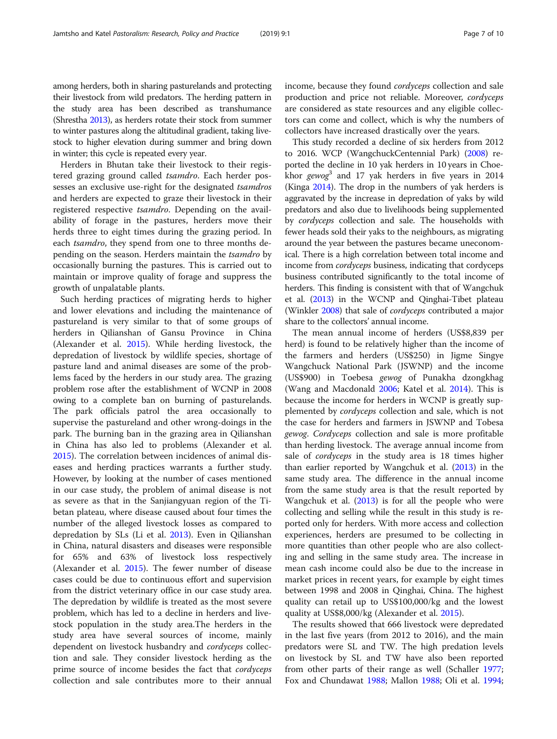among herders, both in sharing pasturelands and protecting their livestock from wild predators. The herding pattern in the study area has been described as transhumance (Shrestha [2013](#page-9-0)), as herders rotate their stock from summer to winter pastures along the altitudinal gradient, taking livestock to higher elevation during summer and bring down in winter; this cycle is repeated every year.

Herders in Bhutan take their livestock to their registered grazing ground called tsamdro. Each herder possesses an exclusive use-right for the designated tsamdros and herders are expected to graze their livestock in their registered respective tsamdro. Depending on the availability of forage in the pastures, herders move their herds three to eight times during the grazing period. In each *tsamdro*, they spend from one to three months depending on the season. Herders maintain the tsamdro by occasionally burning the pastures. This is carried out to maintain or improve quality of forage and suppress the growth of unpalatable plants.

Such herding practices of migrating herds to higher and lower elevations and including the maintenance of pastureland is very similar to that of some groups of herders in Qilianshan of Gansu Province in China (Alexander et al. [2015](#page-8-0)). While herding livestock, the depredation of livestock by wildlife species, shortage of pasture land and animal diseases are some of the problems faced by the herders in our study area. The grazing problem rose after the establishment of WCNP in 2008 owing to a complete ban on burning of pasturelands. The park officials patrol the area occasionally to supervise the pastureland and other wrong-doings in the park. The burning ban in the grazing area in Qilianshan in China has also led to problems (Alexander et al. [2015](#page-8-0)). The correlation between incidences of animal diseases and herding practices warrants a further study. However, by looking at the number of cases mentioned in our case study, the problem of animal disease is not as severe as that in the Sanjiangyuan region of the Tibetan plateau, where disease caused about four times the number of the alleged livestock losses as compared to depredation by SLs (Li et al. [2013](#page-9-0)). Even in Qilianshan in China, natural disasters and diseases were responsible for 65% and 63% of livestock loss respectively (Alexander et al. [2015](#page-8-0)). The fewer number of disease cases could be due to continuous effort and supervision from the district veterinary office in our case study area. The depredation by wildlife is treated as the most severe problem, which has led to a decline in herders and livestock population in the study area.The herders in the study area have several sources of income, mainly dependent on livestock husbandry and *cordyceps* collection and sale. They consider livestock herding as the prime source of income besides the fact that cordyceps collection and sale contributes more to their annual income, because they found cordyceps collection and sale production and price not reliable. Moreover, cordyceps are considered as state resources and any eligible collectors can come and collect, which is why the numbers of collectors have increased drastically over the years.

This study recorded a decline of six herders from 2012 to 2016. WCP (WangchuckCentennial Park) ([2008](#page-9-0)) reported the decline in 10 yak herders in 10 years in Choekhor  $gewog<sup>3</sup>$  and 17 yak herders in five years in 2014 (Kinga [2014\)](#page-9-0). The drop in the numbers of yak herders is aggravated by the increase in depredation of yaks by wild predators and also due to livelihoods being supplemented by cordyceps collection and sale. The households with fewer heads sold their yaks to the neighbours, as migrating around the year between the pastures became uneconomical. There is a high correlation between total income and income from cordyceps business, indicating that cordyceps business contributed significantly to the total income of herders. This finding is consistent with that of Wangchuk et al. ([2013\)](#page-9-0) in the WCNP and Qinghai-Tibet plateau (Winkler [2008](#page-9-0)) that sale of *cordyceps* contributed a major share to the collectors' annual income.

The mean annual income of herders (US\$8,839 per herd) is found to be relatively higher than the income of the farmers and herders (US\$250) in Jigme Singye Wangchuck National Park (JSWNP) and the income (US\$900) in Toebesa gewog of Punakha dzongkhag (Wang and Macdonald [2006;](#page-9-0) Katel et al. [2014\)](#page-9-0). This is because the income for herders in WCNP is greatly supplemented by cordyceps collection and sale, which is not the case for herders and farmers in JSWNP and Tobesa gewog. Cordyceps collection and sale is more profitable than herding livestock. The average annual income from sale of cordyceps in the study area is 18 times higher than earlier reported by Wangchuk et al. ([2013](#page-9-0)) in the same study area. The difference in the annual income from the same study area is that the result reported by Wangchuk et al. ([2013](#page-9-0)) is for all the people who were collecting and selling while the result in this study is reported only for herders. With more access and collection experiences, herders are presumed to be collecting in more quantities than other people who are also collecting and selling in the same study area. The increase in mean cash income could also be due to the increase in market prices in recent years, for example by eight times between 1998 and 2008 in Qinghai, China. The highest quality can retail up to US\$100,000/kg and the lowest quality at US\$8,000/kg (Alexander et al. [2015\)](#page-8-0).

The results showed that 666 livestock were depredated in the last five years (from 2012 to 2016), and the main predators were SL and TW. The high predation levels on livestock by SL and TW have also been reported from other parts of their range as well (Schaller [1977](#page-9-0); Fox and Chundawat [1988](#page-9-0); Mallon [1988](#page-9-0); Oli et al. [1994](#page-9-0);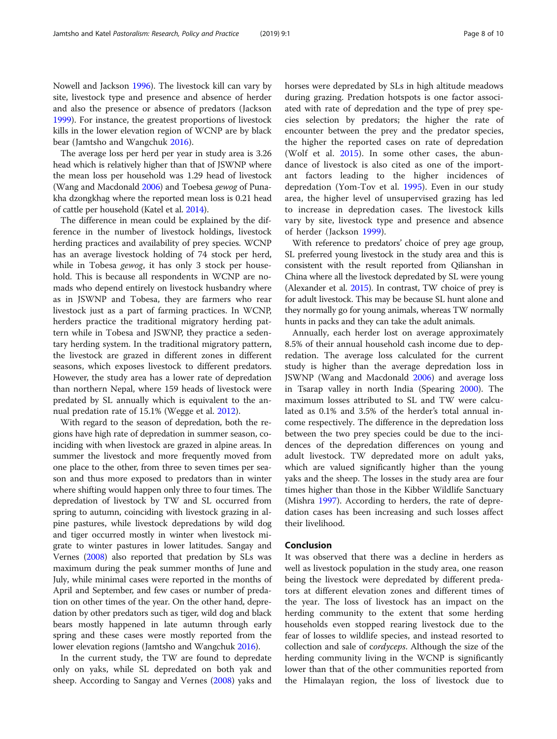Nowell and Jackson [1996](#page-9-0)). The livestock kill can vary by site, livestock type and presence and absence of herder and also the presence or absence of predators (Jackson [1999](#page-9-0)). For instance, the greatest proportions of livestock kills in the lower elevation region of WCNP are by black bear (Jamtsho and Wangchuk [2016\)](#page-9-0).

The average loss per herd per year in study area is 3.26 head which is relatively higher than that of JSWNP where the mean loss per household was 1.29 head of livestock (Wang and Macdonald [2006](#page-9-0)) and Toebesa gewog of Punakha dzongkhag where the reported mean loss is 0.21 head of cattle per household (Katel et al. [2014](#page-9-0)).

The difference in mean could be explained by the difference in the number of livestock holdings, livestock herding practices and availability of prey species. WCNP has an average livestock holding of 74 stock per herd, while in Tobesa gewog, it has only 3 stock per household. This is because all respondents in WCNP are nomads who depend entirely on livestock husbandry where as in JSWNP and Tobesa, they are farmers who rear livestock just as a part of farming practices. In WCNP, herders practice the traditional migratory herding pattern while in Tobesa and JSWNP, they practice a sedentary herding system. In the traditional migratory pattern, the livestock are grazed in different zones in different seasons, which exposes livestock to different predators. However, the study area has a lower rate of depredation than northern Nepal, where 159 heads of livestock were predated by SL annually which is equivalent to the annual predation rate of 15.1% (Wegge et al. [2012](#page-9-0)).

With regard to the season of depredation, both the regions have high rate of depredation in summer season, coinciding with when livestock are grazed in alpine areas. In summer the livestock and more frequently moved from one place to the other, from three to seven times per season and thus more exposed to predators than in winter where shifting would happen only three to four times. The depredation of livestock by TW and SL occurred from spring to autumn, coinciding with livestock grazing in alpine pastures, while livestock depredations by wild dog and tiger occurred mostly in winter when livestock migrate to winter pastures in lower latitudes. Sangay and Vernes [\(2008\)](#page-9-0) also reported that predation by SLs was maximum during the peak summer months of June and July, while minimal cases were reported in the months of April and September, and few cases or number of predation on other times of the year. On the other hand, depredation by other predators such as tiger, wild dog and black bears mostly happened in late autumn through early spring and these cases were mostly reported from the lower elevation regions (Jamtsho and Wangchuk [2016](#page-9-0)).

In the current study, the TW are found to depredate only on yaks, while SL depredated on both yak and sheep. According to Sangay and Vernes [\(2008\)](#page-9-0) yaks and horses were depredated by SLs in high altitude meadows during grazing. Predation hotspots is one factor associated with rate of depredation and the type of prey species selection by predators; the higher the rate of encounter between the prey and the predator species, the higher the reported cases on rate of depredation (Wolf et al. [2015\)](#page-9-0). In some other cases, the abundance of livestock is also cited as one of the important factors leading to the higher incidences of depredation (Yom-Tov et al. [1995](#page-9-0)). Even in our study area, the higher level of unsupervised grazing has led to increase in depredation cases. The livestock kills vary by site, livestock type and presence and absence of herder (Jackson [1999\)](#page-9-0).

With reference to predators' choice of prey age group, SL preferred young livestock in the study area and this is consistent with the result reported from Qilianshan in China where all the livestock depredated by SL were young (Alexander et al. [2015](#page-8-0)). In contrast, TW choice of prey is for adult livestock. This may be because SL hunt alone and they normally go for young animals, whereas TW normally hunts in packs and they can take the adult animals.

Annually, each herder lost on average approximately 8.5% of their annual household cash income due to depredation. The average loss calculated for the current study is higher than the average depredation loss in JSWNP (Wang and Macdonald [2006](#page-9-0)) and average loss in Tsarap valley in north India (Spearing [2000\)](#page-9-0). The maximum losses attributed to SL and TW were calculated as 0.1% and 3.5% of the herder's total annual income respectively. The difference in the depredation loss between the two prey species could be due to the incidences of the depredation differences on young and adult livestock. TW depredated more on adult yaks, which are valued significantly higher than the young yaks and the sheep. The losses in the study area are four times higher than those in the Kibber Wildlife Sanctuary (Mishra [1997](#page-9-0)). According to herders, the rate of depredation cases has been increasing and such losses affect their livelihood.

### Conclusion

It was observed that there was a decline in herders as well as livestock population in the study area, one reason being the livestock were depredated by different predators at different elevation zones and different times of the year. The loss of livestock has an impact on the herding community to the extent that some herding households even stopped rearing livestock due to the fear of losses to wildlife species, and instead resorted to collection and sale of cordyceps. Although the size of the herding community living in the WCNP is significantly lower than that of the other communities reported from the Himalayan region, the loss of livestock due to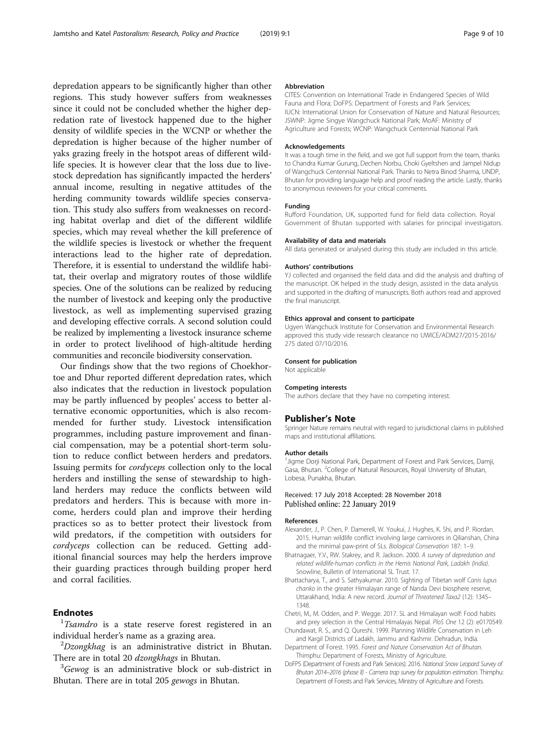<span id="page-8-0"></span>depredation appears to be significantly higher than other regions. This study however suffers from weaknesses since it could not be concluded whether the higher depredation rate of livestock happened due to the higher density of wildlife species in the WCNP or whether the depredation is higher because of the higher number of yaks grazing freely in the hotspot areas of different wildlife species. It is however clear that the loss due to livestock depredation has significantly impacted the herders' annual income, resulting in negative attitudes of the herding community towards wildlife species conservation. This study also suffers from weaknesses on recording habitat overlap and diet of the different wildlife species, which may reveal whether the kill preference of the wildlife species is livestock or whether the frequent interactions lead to the higher rate of depredation. Therefore, it is essential to understand the wildlife habitat, their overlap and migratory routes of those wildlife species. One of the solutions can be realized by reducing the number of livestock and keeping only the productive livestock, as well as implementing supervised grazing and developing effective corrals. A second solution could be realized by implementing a livestock insurance scheme in order to protect livelihood of high-altitude herding communities and reconcile biodiversity conservation.

Our findings show that the two regions of Choekhortoe and Dhur reported different depredation rates, which also indicates that the reduction in livestock population may be partly influenced by peoples' access to better alternative economic opportunities, which is also recommended for further study. Livestock intensification programmes, including pasture improvement and financial compensation, may be a potential short-term solution to reduce conflict between herders and predators. Issuing permits for cordyceps collection only to the local herders and instilling the sense of stewardship to highland herders may reduce the conflicts between wild predators and herders. This is because with more income, herders could plan and improve their herding practices so as to better protect their livestock from wild predators, if the competition with outsiders for cordyceps collection can be reduced. Getting additional financial sources may help the herders improve their guarding practices through building proper herd and corral facilities.

### **Endnotes**

 $1$ Tsamdro is a state reserve forest registered in an individual herder's name as a grazing area. <sup>2</sup>

 $^{2}Dzongkhag$  is an administrative district in Bhutan. There are in total 20 dzongkhags in Bhutan.

<sup>3</sup>Gewog is an administrative block or sub-district in Bhutan. There are in total 205 gewogs in Bhutan.

#### Abbreviation

CITES: Convention on International Trade in Endangered Species of Wild Fauna and Flora; DoFPS: Department of Forests and Park Services; IUCN: International Union for Conservation of Nature and Natural Resources; JSWNP: Jigme Singye Wangchuck National Park; MoAF: Ministry of Agriculture and Forests; WCNP: Wangchuck Centennial National Park

#### Acknowledgements

It was a tough time in the field, and we got full support from the team, thanks to Chandra Kumar Gurung, Dechen Norbu, Choki Gyeltshen and Jampel Nidup of Wangchuck Centennial National Park. Thanks to Netra Binod Sharma, UNDP, Bhutan for providing language help and proof reading the article. Lastly, thanks to anonymous reviewers for your critical comments.

#### Funding

Rufford Foundation, UK, supported fund for field data collection. Royal Government of Bhutan supported with salaries for principal investigators.

#### Availability of data and materials

All data generated or analysed during this study are included in this article.

#### Authors' contributions

YJ collected and organised the field data and did the analysis and drafting of the manuscript. OK helped in the study design, assisted in the data analysis and supported in the drafting of manuscripts. Both authors read and approved the final manuscript.

#### Ethics approval and consent to participate

Ugyen Wangchuck Institute for Conservation and Environmental Research approved this study vide research clearance no UWICE/ADM27/2015-2016/ 275 dated 07/10/2016.

#### Consent for publication

Not applicable

#### Competing interests

The authors declare that they have no competing interest.

#### Publisher's Note

Springer Nature remains neutral with regard to jurisdictional claims in published maps and institutional affiliations.

#### Author details

<sup>1</sup> Jigme Dorji National Park, Department of Forest and Park Services, Damji, Gasa, Bhutan. <sup>2</sup>College of Natural Resources, Royal University of Bhutan Lobesa, Punakha, Bhutan.

### Received: 17 July 2018 Accepted: 28 November 2018 Published online: 22 January 2019

#### References

- Alexander, J., P. Chen, P. Damerell, W. Youkui, J. Hughes, K. Shi, and P. Riordan. 2015. Human wildlife conflict involving large carnivores in Qilianshan, China and the minimal paw-print of SLs. Biological Conservation 187: 1–9.
- Bhatnagaer, Y.V., RW. Stakrey, and R. Jackson. 2000. A survey of depredation and related wildlife-human conflicts in the Hemis National Park, Ladakh (India). Snowline, Bulletin of International SL Trust. 17.
- Bhattacharya, T., and S. Sathyakumar. 2010. Sighting of Tibetan wolf Canis lupus chanko in the greater Himalayan range of Nanda Devi biosphere reserve, Uttarakhand, India: A new record. Journal of Threatened Taxa2 (12): 1345– 1348.
- Chetri, M., M. Odden, and P. Wegge. 2017. SL and Himalayan wolf: Food habits and prey selection in the Central Himalayas Nepal. PloS One 12 (2): e0170549.
- Chundawat, R. S., and Q. Qureshi. 1999. Planning Wildlife Conservation in Leh and Kargil Districts of Ladakh, Jammu and Kashmir. Dehradun, India.
- Department of Forest. 1995. Forest and Nature Conservation Act of Bhutan. Thimphu: Department of Forests, Ministry of Agriculture.
- DoFPS (Department of Forests and Park Services). 2016. National Snow Leopard Survey of Bhutan 2014–2016 (phase II) - Camera trap survey for population estimation. Thimphu: Department of Forests and Park Services, Ministry of Agriculture and Forests.